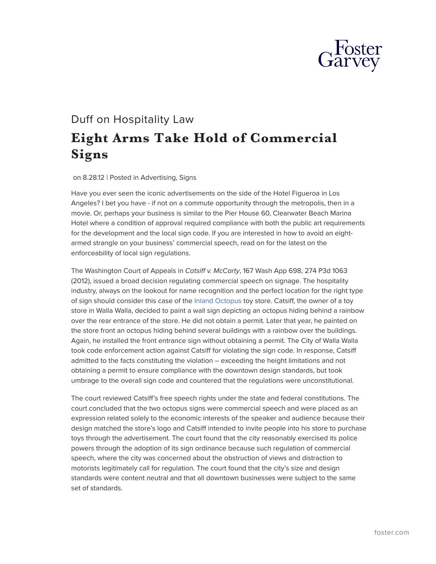

## Duff on Hospitality Law **Eight Arms Take Hold of Commercial Signs**

on 8.28.12 | Posted in Advertising, Signs

Have you ever seen the iconic advertisements on the side of the Hotel Figueroa in Los Angeles? I bet you have - if not on a commute opportunity through the metropolis, then in a movie. Or, perhaps your business is similar to the Pier House 60, Clearwater Beach Marina Hotel where a condition of approval required compliance with both the public art requirements for the development and the local sign code. If you are interested in how to avoid an eightarmed strangle on your business' commercial speech, read on for the latest on the enforceability of local sign regulations.

The Washington Court of Appeals in *Catsiff v. McCarty*, 167 Wash App 698, 274 P3d 1063 (2012), issued a broad decision regulating commercial speech on signage. The hospitality industry, always on the lookout for name recognition and the perfect location for the right type of sign should consider this case of the [Inland Octopus](http://www.inlandoctopus.com/) toy store. Catsiff, the owner of a toy store in Walla Walla, decided to paint a wall sign depicting an octopus hiding behind a rainbow over the rear entrance of the store. He did not obtain a permit. Later that year, he painted on the store front an octopus hiding behind several buildings with a rainbow over the buildings. Again, he installed the front entrance sign without obtaining a permit. The City of Walla Walla took code enforcement action against Catsiff for violating the sign code. In response, Catsiff admitted to the facts constituting the violation – exceeding the height limitations and not obtaining a permit to ensure compliance with the downtown design standards, but took umbrage to the overall sign code and countered that the regulations were unconstitutional.

The court reviewed Catsiff's free speech rights under the state and federal constitutions. The court concluded that the two octopus signs were commercial speech and were placed as an expression related solely to the economic interests of the speaker and audience because their design matched the store's logo and Catsiff intended to invite people into his store to purchase toys through the advertisement. The court found that the city reasonably exercised its police powers through the adoption of its sign ordinance because such regulation of commercial speech, where the city was concerned about the obstruction of views and distraction to motorists legitimately call for regulation. The court found that the city's size and design standards were content neutral and that all downtown businesses were subject to the same set of standards.